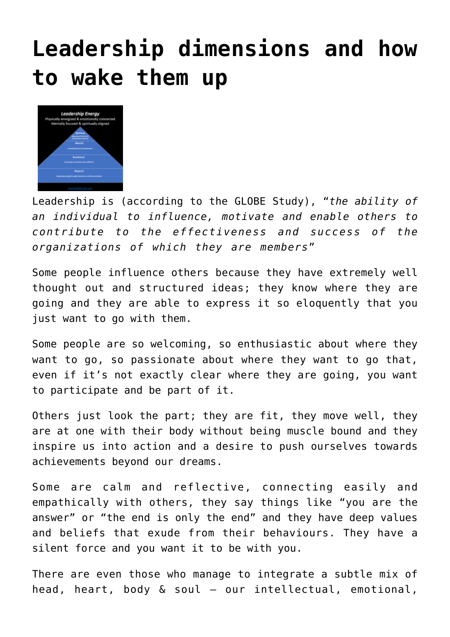## **[Leadership dimensions and how](http://boblarcher.com/leadership/leadership-dimensions-and-how-to-wake-them-up/) [to wake them up](http://boblarcher.com/leadership/leadership-dimensions-and-how-to-wake-them-up/)**



Leadership is (according to the GLOBE Study), "*the ability of an individual to influence, motivate and enable others to contribute to the effectiveness and success of the organizations of which they are members*"

Some people influence others because they have extremely well thought out and structured ideas; they know where they are going and they are able to express it so eloquently that you just want to go with them.

Some people are so welcoming, so enthusiastic about where they want to go, so passionate about where they want to go that, even if it's not exactly clear where they are going, you want to participate and be part of it.

Others just look the part; they are fit, they move well, they are at one with their body without being muscle bound and they inspire us into action and a desire to push ourselves towards achievements beyond our dreams.

Some are calm and reflective, connecting easily and empathically with others, they say things like "you are the answer" or "the end is only the end" and they have deep values and beliefs that exude from their behaviours. They have a silent force and you want it to be with you.

There are even those who manage to integrate a subtle mix of head, heart, body & soul – our intellectual, emotional,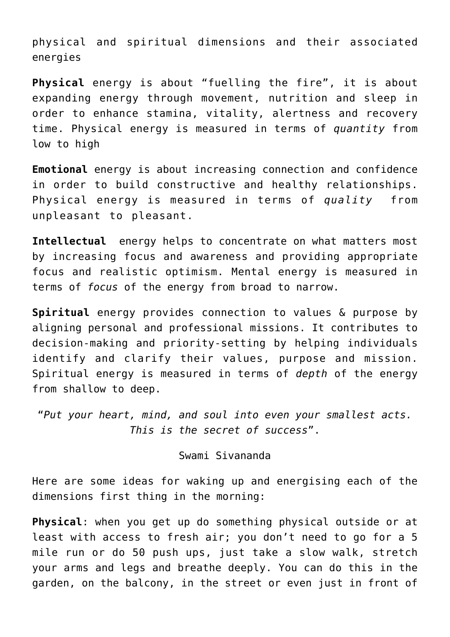physical and spiritual dimensions and their associated energies

**Physical** energy is about "fuelling the fire", it is about expanding energy through movement, nutrition and sleep in order to enhance stamina, vitality, alertness and recovery time. Physical energy is measured in terms of *quantity* from low to high

**Emotional** energy is about increasing connection and confidence in order to build constructive and healthy relationships. Physical energy is measured in terms of *quality* from unpleasant to pleasant.

**Intellectual** energy helps to concentrate on what matters most by increasing focus and awareness and providing appropriate focus and realistic optimism. Mental energy is measured in terms of *focus* of the energy from broad to narrow.

**Spiritual** energy provides connection to values & purpose by aligning personal and professional missions. It contributes to decision-making and priority-setting by helping individuals identify and clarify their values, purpose and mission. Spiritual energy is measured in terms of *depth* of the energy from shallow to deep.

"*Put your heart, mind, and soul into even your smallest acts. This is the secret of success*".

## Swami Sivananda

Here are some ideas for waking up and energising each of the dimensions first thing in the morning:

**Physical**: when you get up do something physical outside or at least with access to fresh air; you don't need to go for a 5 mile run or do 50 push ups, just take a slow walk, stretch your arms and legs and breathe deeply. You can do this in the garden, on the balcony, in the street or even just in front of